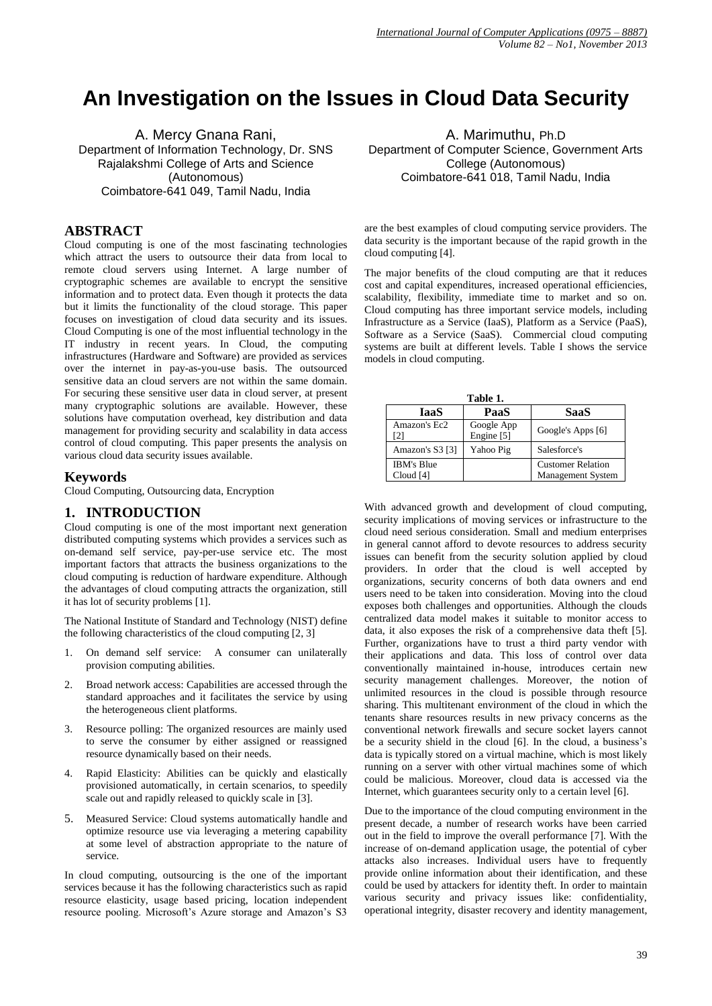# **An Investigation on the Issues in Cloud Data Security**

A. Mercy Gnana Rani, Department of Information Technology, Dr. SNS Rajalakshmi College of Arts and Science (Autonomous) Coimbatore-641 049, Tamil Nadu, India

### **ABSTRACT**

Cloud computing is one of the most fascinating technologies which attract the users to outsource their data from local to remote cloud servers using Internet. A large number of cryptographic schemes are available to encrypt the sensitive information and to protect data. Even though it protects the data but it limits the functionality of the cloud storage. This paper focuses on investigation of cloud data security and its issues. Cloud Computing is one of the most influential technology in the IT industry in recent years. In Cloud, the computing infrastructures (Hardware and Software) are provided as services over the internet in pay-as-you-use basis. The outsourced sensitive data an cloud servers are not within the same domain. For securing these sensitive user data in cloud server, at present many cryptographic solutions are available. However, these solutions have computation overhead, key distribution and data management for providing security and scalability in data access control of cloud computing. This paper presents the analysis on various cloud data security issues available.

#### **Keywords**

Cloud Computing, Outsourcing data, Encryption

#### **1. INTRODUCTION**

Cloud computing is one of the most important next generation distributed computing systems which provides a services such as on-demand self service, pay-per-use service etc. The most important factors that attracts the business organizations to the cloud computing is reduction of hardware expenditure. Although the advantages of cloud computing attracts the organization, still it has lot of security problems [1].

The National Institute of Standard and Technology (NIST) define the following characteristics of the cloud computing [2, 3]

- 1. On demand self service: A consumer can unilaterally provision computing abilities.
- 2. Broad network access: Capabilities are accessed through the standard approaches and it facilitates the service by using the heterogeneous client platforms.
- 3. Resource polling: The organized resources are mainly used to serve the consumer by either assigned or reassigned resource dynamically based on their needs.
- 4. Rapid Elasticity: Abilities can be quickly and elastically provisioned automatically, in certain scenarios, to speedily scale out and rapidly released to quickly scale in [3].
- 5. Measured Service: Cloud systems automatically handle and optimize resource use via leveraging a metering capability at some level of abstraction appropriate to the nature of service.

In cloud computing, outsourcing is the one of the important services because it has the following characteristics such as rapid resource elasticity, usage based pricing, location independent resource pooling. Microsoft's Azure storage and Amazon's S3

A. Marimuthu, Ph.D Department of Computer Science, Government Arts College (Autonomous) Coimbatore-641 018, Tamil Nadu, India

are the best examples of cloud computing service providers. The data security is the important because of the rapid growth in the cloud computing [4].

The major benefits of the cloud computing are that it reduces cost and capital expenditures, increased operational efficiencies, scalability, flexibility, immediate time to market and so on. Cloud computing has three important service models, including Infrastructure as a Service (IaaS), Platform as a Service (PaaS), Software as a Service (SaaS). Commercial cloud computing systems are built at different levels. Table I shows the service models in cloud computing.

| IaaS                           | PaaS                     | SaaS                                                 |  |
|--------------------------------|--------------------------|------------------------------------------------------|--|
| Amazon's Ec2<br>[2]            | Google App<br>Engine [5] | Google's Apps [6]                                    |  |
| Amazon's S3 [3]                | Yahoo Pig                | Salesforce's                                         |  |
| <b>IBM's Blue</b><br>Cloud [4] |                          | <b>Customer Relation</b><br><b>Management System</b> |  |

With advanced growth and development of cloud computing, security implications of moving services or infrastructure to the cloud need serious consideration. Small and medium enterprises in general cannot afford to devote resources to address security issues can benefit from the security solution applied by cloud providers. In order that the cloud is well accepted by organizations, security concerns of both data owners and end users need to be taken into consideration. Moving into the cloud exposes both challenges and opportunities. Although the clouds centralized data model makes it suitable to monitor access to data, it also exposes the risk of a comprehensive data theft [5]. Further, organizations have to trust a third party vendor with their applications and data. This loss of control over data conventionally maintained in-house, introduces certain new security management challenges. Moreover, the notion of unlimited resources in the cloud is possible through resource sharing. This multitenant environment of the cloud in which the tenants share resources results in new privacy concerns as the conventional network firewalls and secure socket layers cannot be a security shield in the cloud [6]. In the cloud, a business's data is typically stored on a virtual machine, which is most likely running on a server with other virtual machines some of which could be malicious. Moreover, cloud data is accessed via the Internet, which guarantees security only to a certain level [6].

Due to the importance of the cloud computing environment in the present decade, a number of research works have been carried out in the field to improve the overall performance [7]. With the increase of on-demand application usage, the potential of cyber attacks also increases. Individual users have to frequently provide online information about their identification, and these could be used by attackers for identity theft. In order to maintain various security and privacy issues like: confidentiality, operational integrity, disaster recovery and identity management,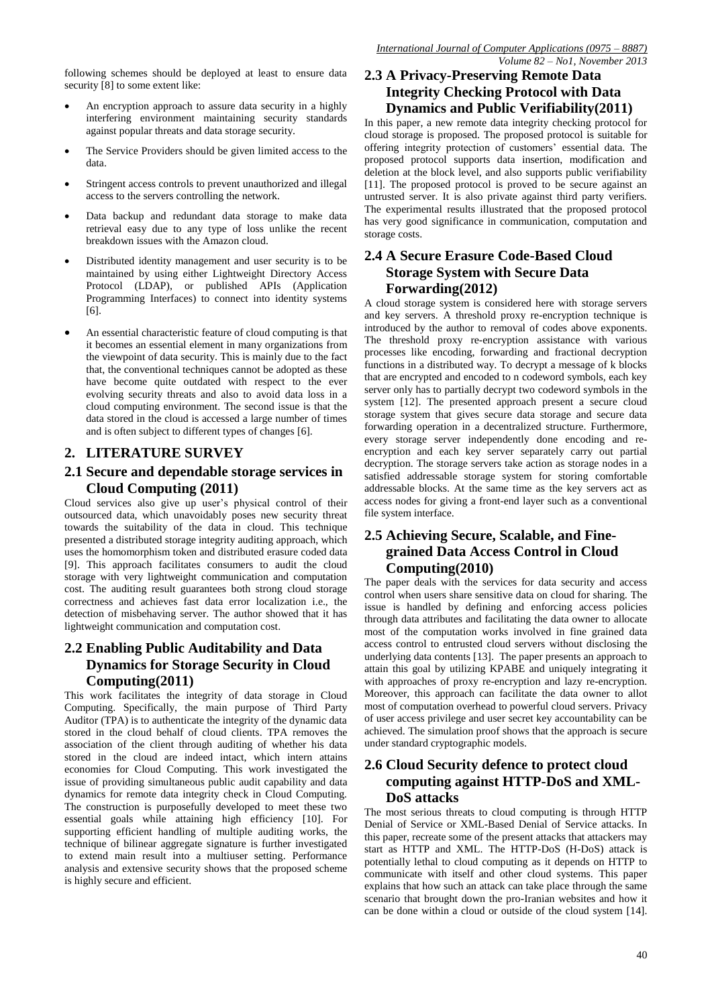following schemes should be deployed at least to ensure data security [8] to some extent like:

- An encryption approach to assure data security in a highly interfering environment maintaining security standards against popular threats and data storage security.
- The Service Providers should be given limited access to the data.
- Stringent access controls to prevent unauthorized and illegal access to the servers controlling the network.
- Data backup and redundant data storage to make data retrieval easy due to any type of loss unlike the recent breakdown issues with the Amazon cloud.
- Distributed identity management and user security is to be maintained by using either Lightweight Directory Access Protocol (LDAP), or published APIs (Application Programming Interfaces) to connect into identity systems [6].
- An essential characteristic feature of cloud computing is that it becomes an essential element in many organizations from the viewpoint of data security. This is mainly due to the fact that, the conventional techniques cannot be adopted as these have become quite outdated with respect to the ever evolving security threats and also to avoid data loss in a cloud computing environment. The second issue is that the data stored in the cloud is accessed a large number of times and is often subject to different types of changes [6].

### **2. LITERATURE SURVEY**

### **2.1 Secure and dependable storage services in Cloud Computing (2011)**

Cloud services also give up user's physical control of their outsourced data, which unavoidably poses new security threat towards the suitability of the data in cloud. This technique presented a distributed storage integrity auditing approach, which uses the homomorphism token and distributed erasure coded data [9]. This approach facilitates consumers to audit the cloud storage with very lightweight communication and computation cost. The auditing result guarantees both strong cloud storage correctness and achieves fast data error localization i.e., the detection of misbehaving server. The author showed that it has lightweight communication and computation cost.

## **2.2 Enabling Public Auditability and Data Dynamics for Storage Security in Cloud Computing(2011)**

This work facilitates the integrity of data storage in Cloud Computing. Specifically, the main purpose of Third Party Auditor (TPA) is to authenticate the integrity of the dynamic data stored in the cloud behalf of cloud clients. TPA removes the association of the client through auditing of whether his data stored in the cloud are indeed intact, which intern attains economies for Cloud Computing. This work investigated the issue of providing simultaneous public audit capability and data dynamics for remote data integrity check in Cloud Computing. The construction is purposefully developed to meet these two essential goals while attaining high efficiency [10]. For supporting efficient handling of multiple auditing works, the technique of bilinear aggregate signature is further investigated to extend main result into a multiuser setting. Performance analysis and extensive security shows that the proposed scheme is highly secure and efficient.

### **2.3 A Privacy-Preserving Remote Data Integrity Checking Protocol with Data Dynamics and Public Verifiability(2011)**

In this paper, a new remote data integrity checking protocol for cloud storage is proposed. The proposed protocol is suitable for offering integrity protection of customers' essential data. The proposed protocol supports data insertion, modification and deletion at the block level, and also supports public verifiability [11]. The proposed protocol is proved to be secure against an untrusted server. It is also private against third party verifiers. The experimental results illustrated that the proposed protocol has very good significance in communication, computation and storage costs.

### **2.4 A Secure Erasure Code-Based Cloud Storage System with Secure Data Forwarding(2012)**

A cloud storage system is considered here with storage servers and key servers. A threshold proxy re-encryption technique is introduced by the author to removal of codes above exponents. The threshold proxy re-encryption assistance with various processes like encoding, forwarding and fractional decryption functions in a distributed way. To decrypt a message of k blocks that are encrypted and encoded to n codeword symbols, each key server only has to partially decrypt two codeword symbols in the system [12]. The presented approach present a secure cloud storage system that gives secure data storage and secure data forwarding operation in a decentralized structure. Furthermore, every storage server independently done encoding and reencryption and each key server separately carry out partial decryption. The storage servers take action as storage nodes in a satisfied addressable storage system for storing comfortable addressable blocks. At the same time as the key servers act as access nodes for giving a front-end layer such as a conventional file system interface.

## **2.5 Achieving Secure, Scalable, and Finegrained Data Access Control in Cloud Computing(2010)**

The paper deals with the services for data security and access control when users share sensitive data on cloud for sharing. The issue is handled by defining and enforcing access policies through data attributes and facilitating the data owner to allocate most of the computation works involved in fine grained data access control to entrusted cloud servers without disclosing the underlying data contents [13]. The paper presents an approach to attain this goal by utilizing KPABE and uniquely integrating it with approaches of proxy re-encryption and lazy re-encryption. Moreover, this approach can facilitate the data owner to allot most of computation overhead to powerful cloud servers. Privacy of user access privilege and user secret key accountability can be achieved. The simulation proof shows that the approach is secure under standard cryptographic models.

# **2.6 Cloud Security defence to protect cloud computing against HTTP-DoS and XML-DoS attacks**

The most serious threats to cloud computing is through HTTP Denial of Service or XML-Based Denial of Service attacks. In this paper, recreate some of the present attacks that attackers may start as HTTP and XML. The HTTP-DoS (H-DoS) attack is potentially lethal to cloud computing as it depends on HTTP to communicate with itself and other cloud systems. This paper explains that how such an attack can take place through the same scenario that brought down the pro-Iranian websites and how it can be done within a cloud or outside of the cloud system [14].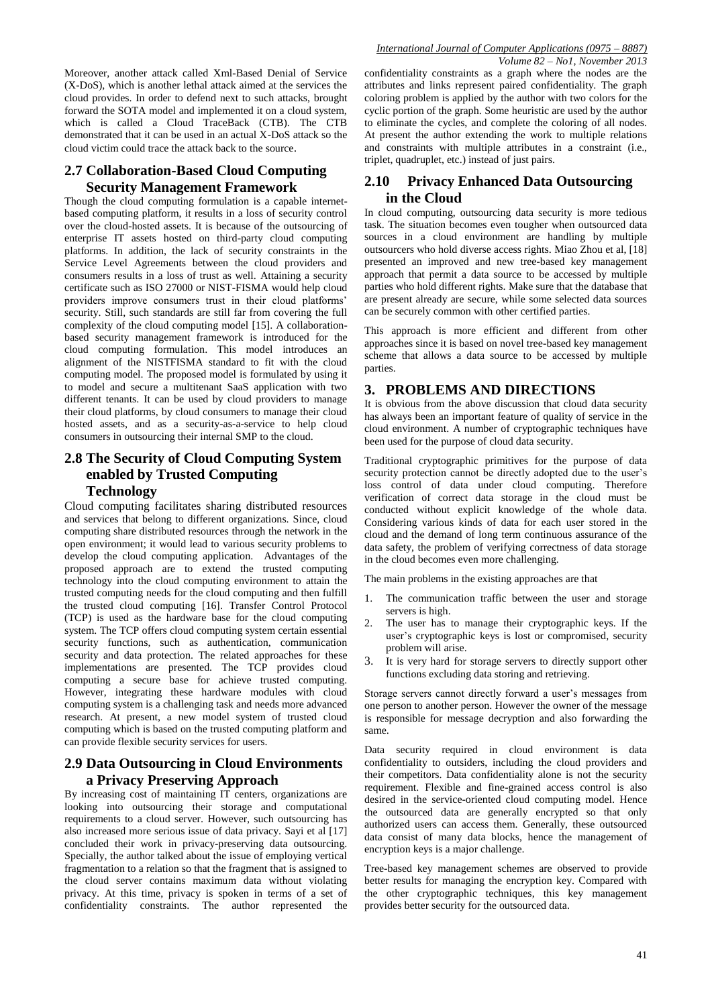Moreover, another attack called Xml-Based Denial of Service (X-DoS), which is another lethal attack aimed at the services the cloud provides. In order to defend next to such attacks, brought forward the SOTA model and implemented it on a cloud system, which is called a Cloud TraceBack (CTB). The CTB demonstrated that it can be used in an actual X-DoS attack so the cloud victim could trace the attack back to the source.

### **2.7 Collaboration-Based Cloud Computing Security Management Framework**

Though the cloud computing formulation is a capable internetbased computing platform, it results in a loss of security control over the cloud-hosted assets. It is because of the outsourcing of enterprise IT assets hosted on third-party cloud computing platforms. In addition, the lack of security constraints in the Service Level Agreements between the cloud providers and consumers results in a loss of trust as well. Attaining a security certificate such as ISO 27000 or NIST-FISMA would help cloud providers improve consumers trust in their cloud platforms' security. Still, such standards are still far from covering the full complexity of the cloud computing model [15]. A collaborationbased security management framework is introduced for the cloud computing formulation. This model introduces an alignment of the NISTFISMA standard to fit with the cloud computing model. The proposed model is formulated by using it to model and secure a multitenant SaaS application with two different tenants. It can be used by cloud providers to manage their cloud platforms, by cloud consumers to manage their cloud hosted assets, and as a security-as-a-service to help cloud consumers in outsourcing their internal SMP to the cloud.

### **2.8 The Security of Cloud Computing System enabled by Trusted Computing Technology**

Cloud computing facilitates sharing distributed resources and services that belong to different organizations. Since, cloud computing share distributed resources through the network in the open environment; it would lead to various security problems to develop the cloud computing application. Advantages of the proposed approach are to extend the trusted computing technology into the cloud computing environment to attain the trusted computing needs for the cloud computing and then fulfill the trusted cloud computing [16]. Transfer Control Protocol (TCP) is used as the hardware base for the cloud computing system. The TCP offers cloud computing system certain essential security functions, such as authentication, communication security and data protection. The related approaches for these implementations are presented. The TCP provides cloud computing a secure base for achieve trusted computing. However, integrating these hardware modules with cloud computing system is a challenging task and needs more advanced research. At present, a new model system of trusted cloud computing which is based on the trusted computing platform and can provide flexible security services for users.

### **2.9 Data Outsourcing in Cloud Environments a Privacy Preserving Approach**

By increasing cost of maintaining IT centers, organizations are looking into outsourcing their storage and computational requirements to a cloud server. However, such outsourcing has also increased more serious issue of data privacy. Sayi et al [17] concluded their work in privacy-preserving data outsourcing. Specially, the author talked about the issue of employing vertical fragmentation to a relation so that the fragment that is assigned to the cloud server contains maximum data without violating privacy. At this time, privacy is spoken in terms of a set of confidentiality constraints. The author represented the confidentiality constraints as a graph where the nodes are the attributes and links represent paired confidentiality. The graph coloring problem is applied by the author with two colors for the cyclic portion of the graph. Some heuristic are used by the author to eliminate the cycles, and complete the coloring of all nodes. At present the author extending the work to multiple relations and constraints with multiple attributes in a constraint (i.e., triplet, quadruplet, etc.) instead of just pairs.

### **2.10 Privacy Enhanced Data Outsourcing in the Cloud**

In cloud computing, outsourcing data security is more tedious task. The situation becomes even tougher when outsourced data sources in a cloud environment are handling by multiple outsourcers who hold diverse access rights. Miao Zhou et al, [18] presented an improved and new tree-based key management approach that permit a data source to be accessed by multiple parties who hold different rights. Make sure that the database that are present already are secure, while some selected data sources can be securely common with other certified parties.

This approach is more efficient and different from other approaches since it is based on novel tree-based key management scheme that allows a data source to be accessed by multiple parties.

### **3. PROBLEMS AND DIRECTIONS**

It is obvious from the above discussion that cloud data security has always been an important feature of quality of service in the cloud environment. A number of cryptographic techniques have been used for the purpose of cloud data security.

Traditional cryptographic primitives for the purpose of data security protection cannot be directly adopted due to the user's loss control of data under cloud computing. Therefore verification of correct data storage in the cloud must be conducted without explicit knowledge of the whole data. Considering various kinds of data for each user stored in the cloud and the demand of long term continuous assurance of the data safety, the problem of verifying correctness of data storage in the cloud becomes even more challenging.

The main problems in the existing approaches are that

- 1. The communication traffic between the user and storage servers is high.
- The user has to manage their cryptographic keys. If the user's cryptographic keys is lost or compromised, security problem will arise.
- 3. It is very hard for storage servers to directly support other functions excluding data storing and retrieving.

Storage servers cannot directly forward a user's messages from one person to another person. However the owner of the message is responsible for message decryption and also forwarding the same.

Data security required in cloud environment is data confidentiality to outsiders, including the cloud providers and their competitors. Data confidentiality alone is not the security requirement. Flexible and fine-grained access control is also desired in the service-oriented cloud computing model. Hence the outsourced data are generally encrypted so that only authorized users can access them. Generally, these outsourced data consist of many data blocks, hence the management of encryption keys is a major challenge.

Tree-based key management schemes are observed to provide better results for managing the encryption key. Compared with the other cryptographic techniques, this key management provides better security for the outsourced data.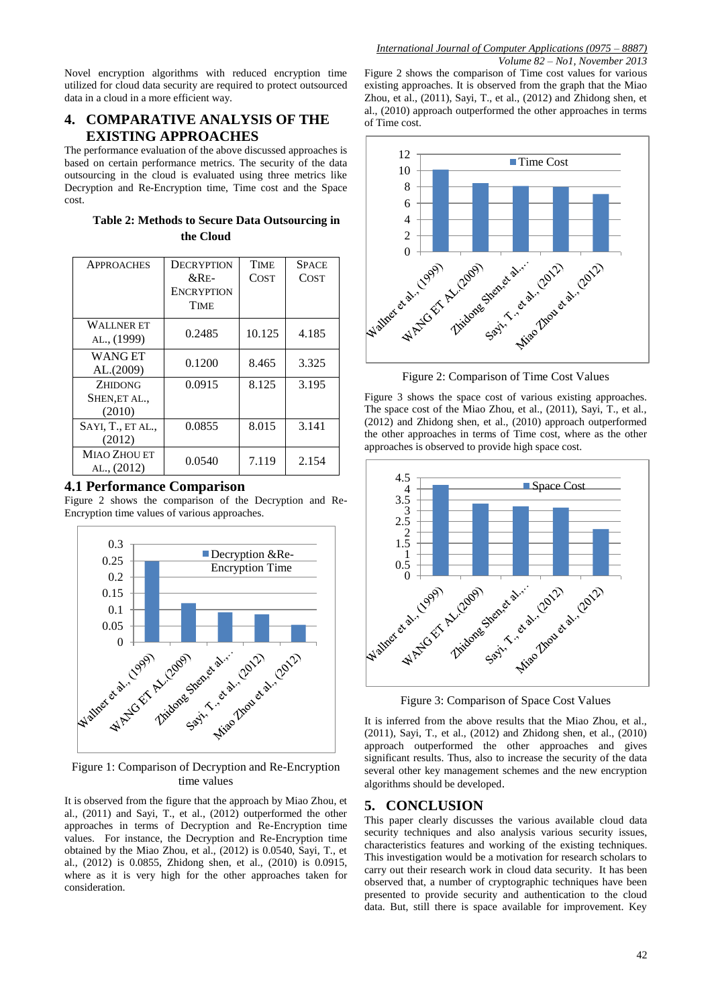Novel encryption algorithms with reduced encryption time utilized for cloud data security are required to protect outsourced data in a cloud in a more efficient way.

### **4. COMPARATIVE ANALYSIS OF THE EXISTING APPROACHES**

The performance evaluation of the above discussed approaches is based on certain performance metrics. The security of the data outsourcing in the cloud is evaluated using three metrics like Decryption and Re-Encryption time, Time cost and the Space cost.

| <b>APPROACHES</b> | DECRYPTION | <b>TIME</b> | <b>SPACE</b> |
|-------------------|------------|-------------|--------------|
|                   | $\&RE-$    | COST        | COST         |
|                   | ENCRYPTION |             |              |
|                   | TIME       |             |              |
| WALLNER ET        | 0.2485     | 10.125      | 4.185        |
| AL., (1999)       |            |             |              |
| <b>WANGET</b>     | 0.1200     | 8.465       | 3.325        |
| AL.(2009)         |            |             |              |
| <b>ZHIDONG</b>    | 0.0915     | 8.125       | 3.195        |
| SHEN, ET AL.,     |            |             |              |
| (2010)            |            |             |              |
| SAYI, T., ET AL., | 0.0855     | 8.015       | 3.141        |
| (2012)            |            |             |              |
| MIAO ZHOU ET      | 0.0540     | 7.119       | 2.154        |
| AL., (2012)       |            |             |              |

**Table 2: Methods to Secure Data Outsourcing in the Cloud**

### **4.1 Performance Comparison**

Figure 2 shows the comparison of the Decryption and Re-Encryption time values of various approaches.



Figure 1: Comparison of Decryption and Re-Encryption time values

It is observed from the figure that the approach by Miao Zhou, et al., (2011) and Sayi, T., et al., (2012) outperformed the other approaches in terms of Decryption and Re-Encryption time values. For instance, the Decryption and Re-Encryption time obtained by the Miao Zhou, et al., (2012) is 0.0540, Sayi, T., et al., (2012) is 0.0855, Zhidong shen, et al., (2010) is 0.0915, where as it is very high for the other approaches taken for consideration.

Figure 2 shows the comparison of Time cost values for various existing approaches. It is observed from the graph that the Miao Zhou, et al., (2011), Sayi, T., et al., (2012) and Zhidong shen, et al., (2010) approach outperformed the other approaches in terms of Time cost.



Figure 2: Comparison of Time Cost Values

Figure 3 shows the space cost of various existing approaches. The space cost of the Miao Zhou, et al., (2011), Sayi, T., et al., (2012) and Zhidong shen, et al., (2010) approach outperformed the other approaches in terms of Time cost, where as the other approaches is observed to provide high space cost.



Figure 3: Comparison of Space Cost Values

It is inferred from the above results that the Miao Zhou, et al., (2011), Sayi, T., et al., (2012) and Zhidong shen, et al., (2010) approach outperformed the other approaches and gives significant results. Thus, also to increase the security of the data several other key management schemes and the new encryption algorithms should be developed.

# **5. CONCLUSION**

This paper clearly discusses the various available cloud data security techniques and also analysis various security issues, characteristics features and working of the existing techniques. This investigation would be a motivation for research scholars to carry out their research work in cloud data security. It has been observed that, a number of cryptographic techniques have been presented to provide security and authentication to the cloud data. But, still there is space available for improvement. Key